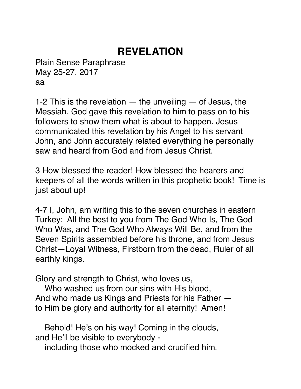# **REVELATION**

Plain Sense Paraphrase May 25-27, 2017 aa

1-2 This is the revelation  $-$  the unveiling  $-$  of Jesus, the Messiah. God gave this revelation to him to pass on to his followers to show them what is about to happen. Jesus communicated this revelation by his Angel to his servant John, and John accurately related everything he personally saw and heard from God and from Jesus Christ.

3 How blessed the reader! How blessed the hearers and keepers of all the words written in this prophetic book! Time is just about up!

4-7 I, John, am writing this to the seven churches in eastern Turkey: All the best to you from The God Who Is, The God Who Was, and The God Who Always Will Be, and from the Seven Spirits assembled before his throne, and from Jesus Christ—Loyal Witness, Firstborn from the dead, Ruler of all earthly kings.

Glory and strength to Christ, who loves us,

 Who washed us from our sins with His blood, And who made us Kings and Priests for his Father to Him be glory and authority for all eternity! Amen!

 Behold! He's on his way! Coming in the clouds, and He'll be visible to everybody -

including those who mocked and crucified him.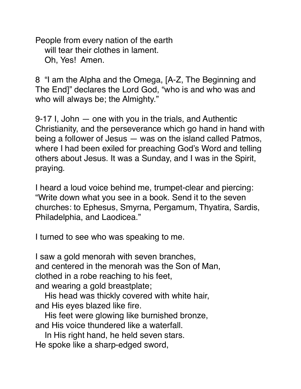People from every nation of the earth will tear their clothes in lament. Oh, Yes! Amen.

8 "I am the Alpha and the Omega, [A-Z, The Beginning and The End]" declares the Lord God, "who is and who was and who will always be; the Almighty."

9-17 I, John — one with you in the trials, and Authentic Christianity, and the perseverance which go hand in hand with being a follower of Jesus — was on the island called Patmos, where I had been exiled for preaching God's Word and telling others about Jesus. It was a Sunday, and I was in the Spirit, praying.

I heard a loud voice behind me, trumpet-clear and piercing: "Write down what you see in a book. Send it to the seven churches: to Ephesus, Smyrna, Pergamum, Thyatira, Sardis, Philadelphia, and Laodicea."

I turned to see who was speaking to me.

I saw a gold menorah with seven branches, and centered in the menorah was the Son of Man, clothed in a robe reaching to his feet, and wearing a gold breastplate;

 His head was thickly covered with white hair, and His eyes blazed like fire.

 His feet were glowing like burnished bronze, and His voice thundered like a waterfall.

 In His right hand, he held seven stars. He spoke like a sharp-edged sword,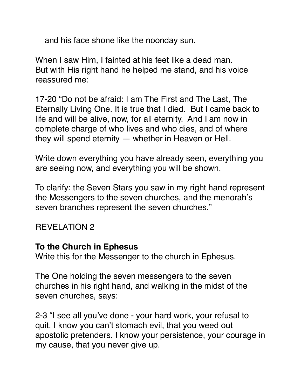and his face shone like the noonday sun.

When I saw Him, I fainted at his feet like a dead man. But with His right hand he helped me stand, and his voice reassured me:

17-20 "Do not be afraid: I am The First and The Last, The Eternally Living One. It is true that I died. But I came back to life and will be alive, now, for all eternity. And I am now in complete charge of who lives and who dies, and of where they will spend eternity — whether in Heaven or Hell.

Write down everything you have already seen, everything you are seeing now, and everything you will be shown.

To clarify: the Seven Stars you saw in my right hand represent the Messengers to the seven churches, and the menorah's seven branches represent the seven churches."

### REVELATION 2

#### **To the Church in Ephesus**

Write this for the Messenger to the church in Ephesus.

The One holding the seven messengers to the seven churches in his right hand, and walking in the midst of the seven churches, says:

2-3 "I see all you've done - your hard work, your refusal to quit. I know you can't stomach evil, that you weed out apostolic pretenders. I know your persistence, your courage in my cause, that you never give up.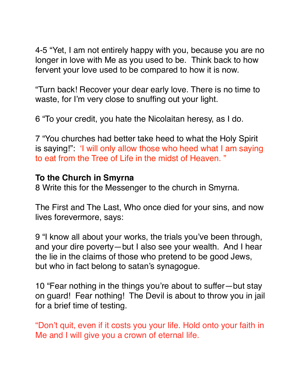4-5 "Yet, I am not entirely happy with you, because you are no longer in love with Me as you used to be. Think back to how fervent your love used to be compared to how it is now.

"Turn back! Recover your dear early love. There is no time to waste, for I'm very close to snuffing out your light.

6 "To your credit, you hate the Nicolaitan heresy, as I do.

7 "You churches had better take heed to what the Holy Spirit is saying!": 'I will only allow those who heed what I am saying to eat from the Tree of Life in the midst of Heaven. "

#### **To the Church in Smyrna**

8 Write this for the Messenger to the church in Smyrna.

The First and The Last, Who once died for your sins, and now lives forevermore, says:

9 "I know all about your works, the trials you've been through, and your dire poverty—but I also see your wealth. And I hear the lie in the claims of those who pretend to be good Jews, but who in fact belong to satan's synagogue.

10 "Fear nothing in the things you're about to suffer—but stay on guard! Fear nothing! The Devil is about to throw you in jail for a brief time of testing.

"Don't quit, even if it costs you your life. Hold onto your faith in Me and I will give you a crown of eternal life.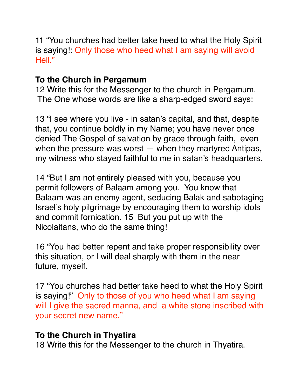11 "You churches had better take heed to what the Holy Spirit is saying!: Only those who heed what I am saying will avoid Hell."

# **To the Church in Pergamum**

12 Write this for the Messenger to the church in Pergamum. The One whose words are like a sharp-edged sword says:

13 "I see where you live - in satan's capital, and that, despite that, you continue boldly in my Name; you have never once denied The Gospel of salvation by grace through faith, even when the pressure was worst — when they martyred Antipas, my witness who stayed faithful to me in satan's headquarters.

14 "But I am not entirely pleased with you, because you permit followers of Balaam among you. You know that Balaam was an enemy agent, seducing Balak and sabotaging Israel's holy pilgrimage by encouraging them to worship idols and commit fornication. 15 But you put up with the Nicolaitans, who do the same thing!

16 "You had better repent and take proper responsibility over this situation, or I will deal sharply with them in the near future, myself.

17 "You churches had better take heed to what the Holy Spirit is saying!" Only to those of you who heed what I am saying will I give the sacred manna, and a white stone inscribed with your secret new name."

### **To the Church in Thyatira**

18 Write this for the Messenger to the church in Thyatira.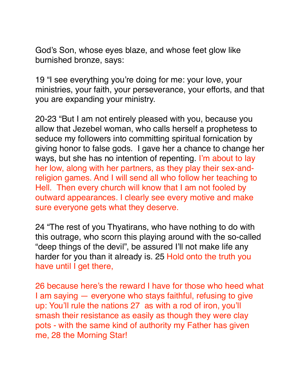God's Son, whose eyes blaze, and whose feet glow like burnished bronze, says:

19 "I see everything you're doing for me: your love, your ministries, your faith, your perseverance, your efforts, and that you are expanding your ministry.

20-23 "But I am not entirely pleased with you, because you allow that Jezebel woman, who calls herself a prophetess to seduce my followers into committing spiritual fornication by giving honor to false gods. I gave her a chance to change her ways, but she has no intention of repenting. I'm about to lay her low, along with her partners, as they play their sex-andreligion games. And I will send all who follow her teaching to Hell. Then every church will know that I am not fooled by outward appearances. I clearly see every motive and make sure everyone gets what they deserve.

24 "The rest of you Thyatirans, who have nothing to do with this outrage, who scorn this playing around with the so-called "deep things of the devil", be assured I'll not make life any harder for you than it already is. 25 Hold onto the truth you have until I get there,

26 because here's the reward I have for those who heed what I am saying — everyone who stays faithful, refusing to give up: You'll rule the nations 27 as with a rod of iron, you'll smash their resistance as easily as though they were clay pots - with the same kind of authority my Father has given me, 28 the Morning Star!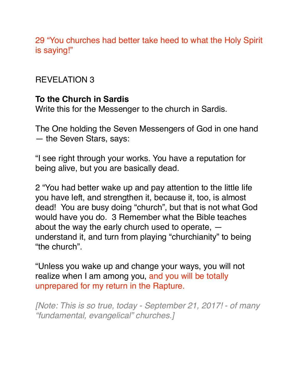29 "You churches had better take heed to what the Holy Spirit is saying!"

# REVELATION 3

# **To the Church in Sardis**

Write this for the Messenger to the church in Sardis.

The One holding the Seven Messengers of God in one hand — the Seven Stars, says:

"I see right through your works. You have a reputation for being alive, but you are basically dead.

2 "You had better wake up and pay attention to the little life you have left, and strengthen it, because it, too, is almost dead! You are busy doing "church", but that is not what God would have you do. 3 Remember what the Bible teaches about the way the early church used to operate, understand it, and turn from playing "churchianity" to being "the church".

"Unless you wake up and change your ways, you will not realize when I am among you, and you will be totally unprepared for my return in the Rapture.

*[Note: This is so true, today - September 21, 2017! - of many "fundamental, evangelical" churches.]*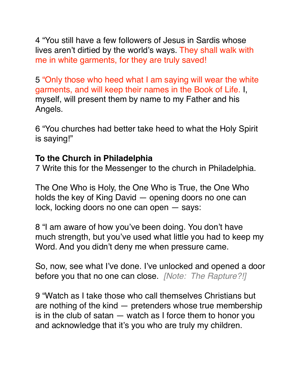4 "You still have a few followers of Jesus in Sardis whose lives aren't dirtied by the world's ways. They shall walk with me in white garments, for they are truly saved!

5 "Only those who heed what I am saying will wear the white garments, and will keep their names in the Book of Life. I, myself, will present them by name to my Father and his Angels.

6 "You churches had better take heed to what the Holy Spirit is saying!"

### **To the Church in Philadelphia**

7 Write this for the Messenger to the church in Philadelphia.

The One Who is Holy, the One Who is True, the One Who holds the key of King David — opening doors no one can lock, locking doors no one can open — says:

8 "I am aware of how you've been doing. You don't have much strength, but you've used what little you had to keep my Word. And you didn't deny me when pressure came.

So, now, see what I've done. I've unlocked and opened a door before you that no one can close. *[Note: The Rapture?!]*

9 "Watch as I take those who call themselves Christians but are nothing of the kind — pretenders whose true membership is in the club of satan  $-$  watch as I force them to honor you and acknowledge that it's you who are truly my children.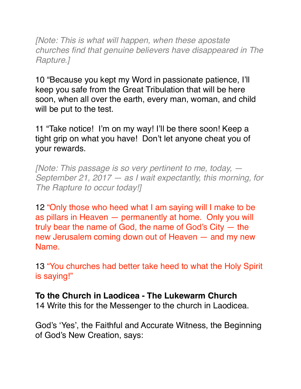*[Note: This is what will happen, when these apostate churches find that genuine believers have disappeared in The Rapture.]*

10 "Because you kept my Word in passionate patience, I'll keep you safe from the Great Tribulation that will be here soon, when all over the earth, every man, woman, and child will be put to the test.

11 "Take notice! I'm on my way! I'll be there soon! Keep a tight grip on what you have! Don't let anyone cheat you of your rewards.

*[Note: This passage is so very pertinent to me, today, — September 21, 2017 — as I wait expectantly, this morning, for The Rapture to occur today!]*

12 "Only those who heed what I am saying will I make to be as pillars in Heaven — permanently at home. Only you will truly bear the name of God, the name of God's City — the new Jerusalem coming down out of Heaven — and my new Name.

13 "You churches had better take heed to what the Holy Spirit is saying!"

# **To the Church in Laodicea - The Lukewarm Church**

14 Write this for the Messenger to the church in Laodicea.

God's 'Yes', the Faithful and Accurate Witness, the Beginning of God's New Creation, says: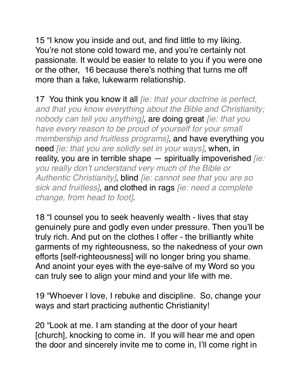15 "I know you inside and out, and find little to my liking. You're not stone cold toward me, and you're certainly not passionate. It would be easier to relate to you if you were one or the other, 16 because there's nothing that turns me off more than a fake, lukewarm relationship.

17 You think you know it all *[ie: that your doctrine is perfect, and that you know everything about the Bible and Christianity; nobody can tell you anything]*, are doing great *[ie: that you have every reason to be proud of yourself for your small membership and fruitless programs]*, and have everything you need *[ie: that you are solidly set in your ways]*, when, in reality, you are in terrible shape — spiritually impoverished *[ie: you really don't understand very much of the Bible or Authentic Christianity]*, blind *[ie: cannot see that you are so sick and fruitless]*, and clothed in rags *[ie: need a complete change, from head to foot]*.

18 "I counsel you to seek heavenly wealth - lives that stay genuinely pure and godly even under pressure. Then you'll be truly rich. And put on the clothes I offer - the brilliantly white garments of my righteousness, so the nakedness of your own efforts [self-righteousness] will no longer bring you shame. And anoint your eyes with the eye-salve of my Word so you can truly see to align your mind and your life with me.

19 "Whoever I love, I rebuke and discipline. So, change your ways and start practicing authentic Christianity!

20 "Look at me. I am standing at the door of your heart [church], knocking to come in. If you will hear me and open the door and sincerely invite me to come in, I'll come right in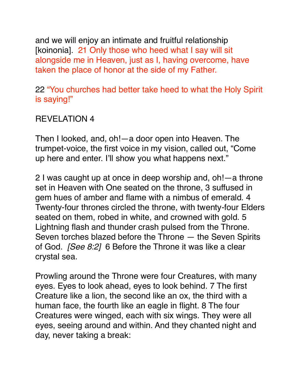and we will enjoy an intimate and fruitful relationship [koinonia]. 21 Only those who heed what I say will sit alongside me in Heaven, just as I, having overcome, have taken the place of honor at the side of my Father.

22 "You churches had better take heed to what the Holy Spirit is saying!"

### REVELATION 4

Then I looked, and, oh!—a door open into Heaven. The trumpet-voice, the first voice in my vision, called out, "Come up here and enter. I'll show you what happens next."

2 I was caught up at once in deep worship and, oh!—a throne set in Heaven with One seated on the throne, 3 suffused in gem hues of amber and flame with a nimbus of emerald. 4 Twenty-four thrones circled the throne, with twenty-four Elders seated on them, robed in white, and crowned with gold. 5 Lightning flash and thunder crash pulsed from the Throne. Seven torches blazed before the Throne — the Seven Spirits of God. *[See 8:2]* 6 Before the Throne it was like a clear crystal sea.

Prowling around the Throne were four Creatures, with many eyes. Eyes to look ahead, eyes to look behind. 7 The first Creature like a lion, the second like an ox, the third with a human face, the fourth like an eagle in flight. 8 The four Creatures were winged, each with six wings. They were all eyes, seeing around and within. And they chanted night and day, never taking a break: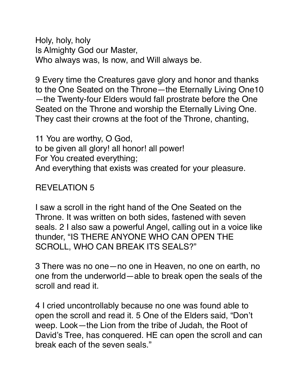Holy, holy, holy Is Almighty God our Master, Who always was, Is now, and Will always be.

9 Every time the Creatures gave glory and honor and thanks to the One Seated on the Throne—the Eternally Living One10 —the Twenty-four Elders would fall prostrate before the One Seated on the Throne and worship the Eternally Living One. They cast their crowns at the foot of the Throne, chanting,

11 You are worthy, O God, to be given all glory! all honor! all power! For You created everything; And everything that exists was created for your pleasure.

#### REVELATION 5

I saw a scroll in the right hand of the One Seated on the Throne. It was written on both sides, fastened with seven seals. 2 I also saw a powerful Angel, calling out in a voice like thunder, "IS THERE ANYONE WHO CAN OPEN THE SCROLL, WHO CAN BREAK ITS SEALS?"

3 There was no one—no one in Heaven, no one on earth, no one from the underworld—able to break open the seals of the scroll and read it.

4 I cried uncontrollably because no one was found able to open the scroll and read it. 5 One of the Elders said, "Don't weep. Look—the Lion from the tribe of Judah, the Root of David's Tree, has conquered. HE can open the scroll and can break each of the seven seals."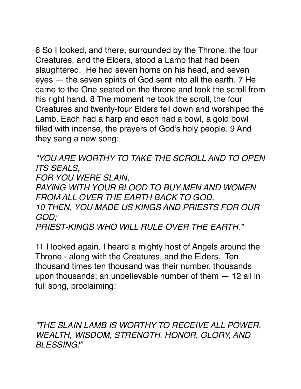6 So I looked, and there, surrounded by the Throne, the four Creatures, and the Elders, stood a Lamb that had been slaughtered. He had seven horns on his head, and seven eyes — the seven spirits of God sent into all the earth. 7 He came to the One seated on the throne and took the scroll from his right hand. 8 The moment he took the scroll, the four Creatures and twenty-four Elders fell down and worshiped the Lamb. Each had a harp and each had a bowl, a gold bowl filled with incense, the prayers of God's holy people. 9 And they sang a new song:

*"YOU ARE WORTHY TO TAKE THE SCROLL AND TO OPEN ITS SEALS,*

*FOR YOU WERE SLAIN,* 

*PAYING WITH YOUR BLOOD TO BUY MEN AND WOMEN FROM ALL OVER THE EARTH BACK TO GOD.*

*10 THEN, YOU MADE US KINGS AND PRIESTS FOR OUR GOD;*

*PRIEST-KINGS WHO WILL RULE OVER THE EARTH."*

11 I looked again. I heard a mighty host of Angels around the Throne - along with the Creatures, and the Elders. Ten thousand times ten thousand was their number, thousands upon thousands; an unbelievable number of them — 12 all in full song, proclaiming:

*"THE SLAIN LAMB IS WORTHY TO RECEIVE ALL POWER, WEALTH, WISDOM, STRENGTH, HONOR, GLORY, AND BLESSING!"*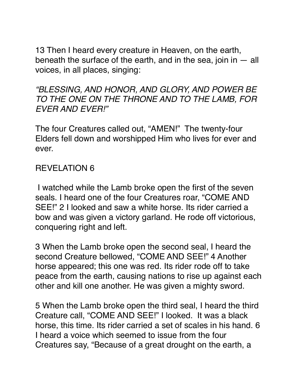13 Then I heard every creature in Heaven, on the earth, beneath the surface of the earth, and in the sea, join in  $-$  all voices, in all places, singing:

*"BLESSING, AND HONOR, AND GLORY, AND POWER BE TO THE ONE ON THE THRONE AND TO THE LAMB, FOR EVER AND EVER!"*

The four Creatures called out, "AMEN!" The twenty-four Elders fell down and worshipped Him who lives for ever and ever.

### REVELATION 6

 I watched while the Lamb broke open the first of the seven seals. I heard one of the four Creatures roar, "COME AND SEE!" 2 I looked and saw a white horse. Its rider carried a bow and was given a victory garland. He rode off victorious, conquering right and left.

3 When the Lamb broke open the second seal, I heard the second Creature bellowed, "COME AND SEE!" 4 Another horse appeared; this one was red. Its rider rode off to take peace from the earth, causing nations to rise up against each other and kill one another. He was given a mighty sword.

5 When the Lamb broke open the third seal, I heard the third Creature call, "COME AND SEE!" I looked. It was a black horse, this time. Its rider carried a set of scales in his hand. 6 I heard a voice which seemed to issue from the four Creatures say, "Because of a great drought on the earth, a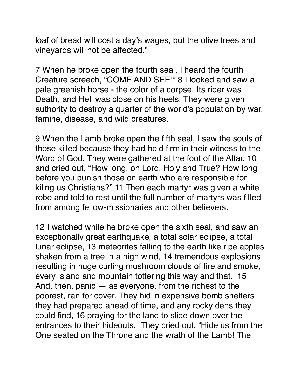loaf of bread will cost a day's wages, but the olive trees and vineyards will not be affected."

7 When he broke open the fourth seal, I heard the fourth Creature screech, "COME AND SEE!" 8 I looked and saw a pale greenish horse - the color of a corpse. Its rider was Death, and Hell was close on his heels. They were given authority to destroy a quarter of the world's population by war, famine, disease, and wild creatures.

9 When the Lamb broke open the fifth seal, I saw the souls of those killed because they had held firm in their witness to the Word of God. They were gathered at the foot of the Altar, 10 and cried out, "How long, oh Lord, Holy and True? How long before you punish those on earth who are responsible for kiling us Christians?" 11 Then each martyr was given a white robe and told to rest until the full number of martyrs was filled from among fellow-missionaries and other believers.

12 I watched while he broke open the sixth seal, and saw an exceptionally great earthquake, a total solar eclipse, a total lunar eclipse, 13 meteorites falling to the earth like ripe apples shaken from a tree in a high wind, 14 tremendous explosions resulting in huge curling mushroom clouds of fire and smoke, every island and mountain tottering this way and that. 15 And, then, panic — as everyone, from the richest to the poorest, ran for cover. They hid in expensive bomb shelters they had prepared ahead of time, and any rocky dens they could find, 16 praying for the land to slide down over the entrances to their hideouts. They cried out, "Hide us from the One seated on the Throne and the wrath of the Lamb! The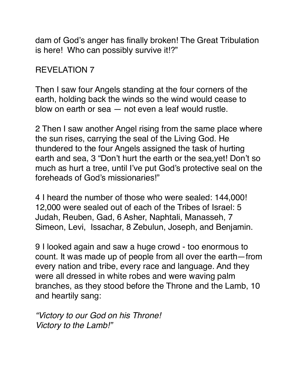dam of God's anger has finally broken! The Great Tribulation is here! Who can possibly survive it!?"

### REVELATION 7

Then I saw four Angels standing at the four corners of the earth, holding back the winds so the wind would cease to blow on earth or sea — not even a leaf would rustle.

2 Then I saw another Angel rising from the same place where the sun rises, carrying the seal of the Living God. He thundered to the four Angels assigned the task of hurting earth and sea, 3 "Don't hurt the earth or the sea,yet! Don't so much as hurt a tree, until I've put God's protective seal on the foreheads of God's missionaries!"

4 I heard the number of those who were sealed: 144,000! 12,000 were sealed out of each of the Tribes of Israel: 5 Judah, Reuben, Gad, 6 Asher, Naphtali, Manasseh, 7 Simeon, Levi, Issachar, 8 Zebulun, Joseph, and Benjamin.

9 I looked again and saw a huge crowd - too enormous to count. It was made up of people from all over the earth—from every nation and tribe, every race and language. And they were all dressed in white robes and were waving palm branches, as they stood before the Throne and the Lamb, 10 and heartily sang:

*"Victory to our God on his Throne! Victory to the Lamb!"*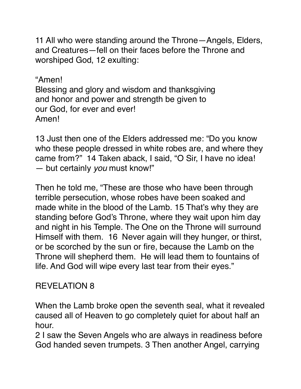11 All who were standing around the Throne—Angels, Elders, and Creatures—fell on their faces before the Throne and worshiped God, 12 exulting:

"Amen! Blessing and glory and wisdom and thanksgiving and honor and power and strength be given to our God, for ever and ever! Amen!

13 Just then one of the Elders addressed me: "Do you know who these people dressed in white robes are, and where they came from?" 14 Taken aback, I said, "O Sir, I have no idea! — but certainly *you* must know!"

Then he told me, "These are those who have been through terrible persecution, whose robes have been soaked and made white in the blood of the Lamb. 15 That's why they are standing before God's Throne, where they wait upon him day and night in his Temple. The One on the Throne will surround Himself with them. 16 Never again will they hunger, or thirst, or be scorched by the sun or fire, because the Lamb on the Throne will shepherd them. He will lead them to fountains of life. And God will wipe every last tear from their eyes."

### REVELATION 8

When the Lamb broke open the seventh seal, what it revealed caused all of Heaven to go completely quiet for about half an hour.

2 I saw the Seven Angels who are always in readiness before God handed seven trumpets. 3 Then another Angel, carrying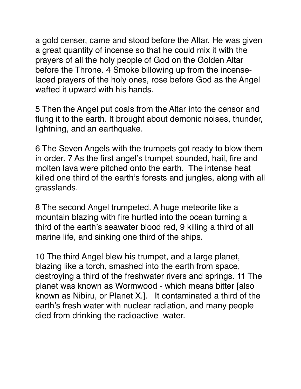a gold censer, came and stood before the Altar. He was given a great quantity of incense so that he could mix it with the prayers of all the holy people of God on the Golden Altar before the Throne. 4 Smoke billowing up from the incenselaced prayers of the holy ones, rose before God as the Angel wafted it upward with his hands.

5 Then the Angel put coals from the Altar into the censor and flung it to the earth. It brought about demonic noises, thunder, lightning, and an earthquake.

6 The Seven Angels with the trumpets got ready to blow them in order. 7 As the first angel's trumpet sounded, hail, fire and molten lava were pitched onto the earth. The intense heat killed one third of the earth's forests and jungles, along with all grasslands.

8 The second Angel trumpeted. A huge meteorite like a mountain blazing with fire hurtled into the ocean turning a third of the earth's seawater blood red, 9 killing a third of all marine life, and sinking one third of the ships.

10 The third Angel blew his trumpet, and a large planet, blazing like a torch, smashed into the earth from space, destroying a third of the freshwater rivers and springs. 11 The planet was known as Wormwood - which means bitter [also known as Nibiru, or Planet X.]. It contaminated a third of the earth's fresh water with nuclear radiation, and many people died from drinking the radioactive water.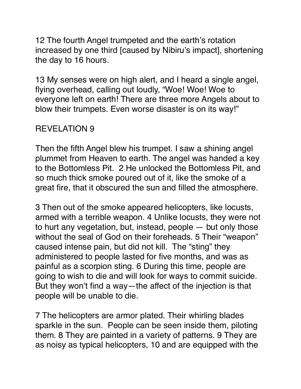12 The fourth Angel trumpeted and the earth's rotation increased by one third [caused by Nibiru's impact], shortening the day to 16 hours.

13 My senses were on high alert, and I heard a single angel, flying overhead, calling out loudly, "Woe! Woe! Woe to everyone left on earth! There are three more Angels about to blow their trumpets. Even worse disaster is on its way!"

# REVELATION 9

Then the fifth Angel blew his trumpet. I saw a shining angel plummet from Heaven to earth. The angel was handed a key to the Bottomless Pit. 2 He unlocked the Bottomless Pit, and so much thick smoke poured out of it, like the smoke of a great fire, that it obscured the sun and filled the atmosphere.

3 Then out of the smoke appeared helicopters, like locusts, armed with a terrible weapon. 4 Unlike locusts, they were not to hurt any vegetation, but, instead, people — but only those without the seal of God on their foreheads. 5 Their "weapon" caused intense pain, but did not kill. The "sting" they administered to people lasted for five months, and was as painful as a scorpion sting. 6 During this time, people are going to wish to die and will look for ways to commit suicide. But they won't find a way—the affect of the injection is that people will be unable to die.

7 The helicopters are armor plated. Their whirling blades sparkle in the sun. People can be seen inside them, piloting them. 8 They are painted in a variety of patterns. 9 They are as noisy as typical helicopters, 10 and are equipped with the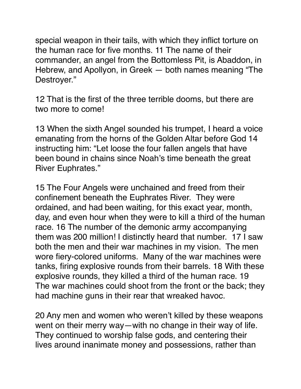special weapon in their tails, with which they inflict torture on the human race for five months. 11 The name of their commander, an angel from the Bottomless Pit, is Abaddon, in Hebrew, and Apollyon, in Greek — both names meaning "The Destroyer."

12 That is the first of the three terrible dooms, but there are two more to come!

13 When the sixth Angel sounded his trumpet, I heard a voice emanating from the horns of the Golden Altar before God 14 instructing him: "Let loose the four fallen angels that have been bound in chains since Noah's time beneath the great River Euphrates."

15 The Four Angels were unchained and freed from their confinement beneath the Euphrates River. They were ordained, and had been waiting, for this exact year, month, day, and even hour when they were to kill a third of the human race. 16 The number of the demonic army accompanying them was 200 million! I distinctly heard that number. 17 I saw both the men and their war machines in my vision. The men wore fiery-colored uniforms. Many of the war machines were tanks, firing explosive rounds from their barrels. 18 With these explosive rounds, they killed a third of the human race. 19 The war machines could shoot from the front or the back; they had machine guns in their rear that wreaked havoc.

20 Any men and women who weren't killed by these weapons went on their merry way—with no change in their way of life. They continued to worship false gods, and centering their lives around inanimate money and possessions, rather than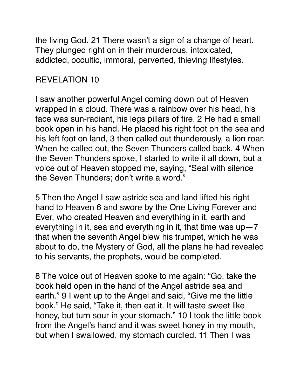the living God. 21 There wasn't a sign of a change of heart. They plunged right on in their murderous, intoxicated, addicted, occultic, immoral, perverted, thieving lifestyles.

# REVELATION 10

I saw another powerful Angel coming down out of Heaven wrapped in a cloud. There was a rainbow over his head, his face was sun-radiant, his legs pillars of fire. 2 He had a small book open in his hand. He placed his right foot on the sea and his left foot on land, 3 then called out thunderously, a lion roar. When he called out, the Seven Thunders called back. 4 When the Seven Thunders spoke, I started to write it all down, but a voice out of Heaven stopped me, saying, "Seal with silence the Seven Thunders; don't write a word."

5 Then the Angel I saw astride sea and land lifted his right hand to Heaven 6 and swore by the One Living Forever and Ever, who created Heaven and everything in it, earth and everything in it, sea and everything in it, that time was  $up-7$ that when the seventh Angel blew his trumpet, which he was about to do, the Mystery of God, all the plans he had revealed to his servants, the prophets, would be completed.

8 The voice out of Heaven spoke to me again: "Go, take the book held open in the hand of the Angel astride sea and earth." 9 I went up to the Angel and said, "Give me the little book." He said, "Take it, then eat it. It will taste sweet like honey, but turn sour in your stomach." 10 I took the little book from the Angel's hand and it was sweet honey in my mouth, but when I swallowed, my stomach curdled. 11 Then I was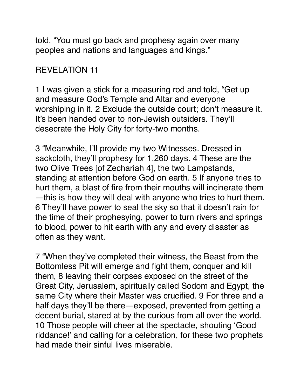told, "You must go back and prophesy again over many peoples and nations and languages and kings."

### REVELATION 11

1 I was given a stick for a measuring rod and told, "Get up and measure God's Temple and Altar and everyone worshiping in it. 2 Exclude the outside court; don't measure it. It's been handed over to non-Jewish outsiders. They'll desecrate the Holy City for forty-two months.

3 "Meanwhile, I'll provide my two Witnesses. Dressed in sackcloth, they'll prophesy for 1,260 days. 4 These are the two Olive Trees [of Zechariah 4], the two Lampstands, standing at attention before God on earth. 5 If anyone tries to hurt them, a blast of fire from their mouths will incinerate them —this is how they will deal with anyone who tries to hurt them. 6 They'll have power to seal the sky so that it doesn't rain for the time of their prophesying, power to turn rivers and springs to blood, power to hit earth with any and every disaster as often as they want.

7 "When they've completed their witness, the Beast from the Bottomless Pit will emerge and fight them, conquer and kill them, 8 leaving their corpses exposed on the street of the Great City, Jerusalem, spiritually called Sodom and Egypt, the same City where their Master was crucified. 9 For three and a half days they'll be there—exposed, prevented from getting a decent burial, stared at by the curious from all over the world. 10 Those people will cheer at the spectacle, shouting 'Good riddance!' and calling for a celebration, for these two prophets had made their sinful lives miserable.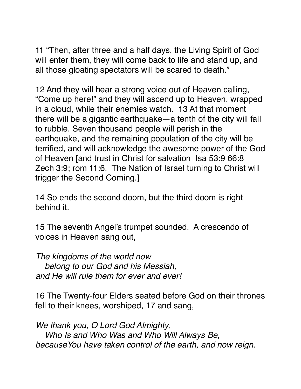11 "Then, after three and a half days, the Living Spirit of God will enter them, they will come back to life and stand up, and all those gloating spectators will be scared to death."

12 And they will hear a strong voice out of Heaven calling, "Come up here!" and they will ascend up to Heaven, wrapped in a cloud, while their enemies watch. 13 At that moment there will be a gigantic earthquake—a tenth of the city will fall to rubble. Seven thousand people will perish in the earthquake, and the remaining population of the city will be terrified, and will acknowledge the awesome power of the God of Heaven [and trust in Christ for salvation Isa 53:9 66:8 Zech 3:9; rom 11:6. The Nation of Israel turning to Christ will trigger the Second Coming.]

14 So ends the second doom, but the third doom is right behind it.

15 The seventh Angel's trumpet sounded. A crescendo of voices in Heaven sang out,

*The kingdoms of the world now belong to our God and his Messiah, and He will rule them for ever and ever!*

16 The Twenty-four Elders seated before God on their thrones fell to their knees, worshiped, 17 and sang,

*We thank you, O Lord God Almighty, Who Is and Who Was and Who Will Always Be, becauseYou have taken control of the earth, and now reign.*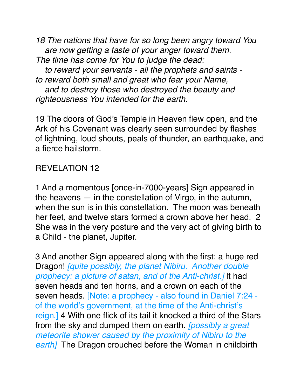*18 The nations that have for so long been angry toward You are now getting a taste of your anger toward them. The time has come for You to judge the dead: to reward your servants - all the prophets and saints to reward both small and great who fear your Name, and to destroy those who destroyed the beauty and righteousness You intended for the earth.*

19 The doors of God's Temple in Heaven flew open, and the Ark of his Covenant was clearly seen surrounded by flashes of lightning, loud shouts, peals of thunder, an earthquake, and a fierce hailstorm.

### REVELATION 12

1 And a momentous [once-in-7000-years] Sign appeared in the heavens — in the constellation of Virgo, in the autumn, when the sun is in this constellation. The moon was beneath her feet, and twelve stars formed a crown above her head. 2 She was in the very posture and the very act of giving birth to a Child - the planet, Jupiter.

3 And another Sign appeared along with the first: a huge red Dragon! *[quite possibly, the planet Nibiru. Another double prophecy: a picture of satan, and of the Anti-christ.]* It had seven heads and ten horns, and a crown on each of the seven heads. [Note: a prophecy - also found in Daniel 7:24 of the world's government, at the time of the Anti-christ's reign.] 4 With one flick of its tail it knocked a third of the Stars from the sky and dumped them on earth. *[possibly a great meteorite shower caused by the proximity of Nibiru to the earth]* The Dragon crouched before the Woman in childbirth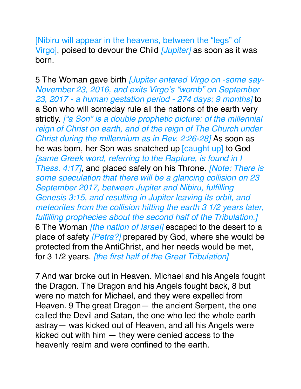[Nibiru will appear in the heavens, between the "legs" of Virgo], poised to devour the Child *[Jupiter]* as soon as it was born.

5 The Woman gave birth *[Jupiter entered Virgo on -some say-November 23, 2016, and exits Virgo's "womb" on September 23, 2017 - a human gestation period - 274 days; 9 months]* to a Son who will someday rule all the nations of the earth very strictly. *["a Son" is a double prophetic picture: of the millennial*  reign of Christ on earth, and of the reign of The Church under *Christ during the millennium as in Rev. 2:26-28]* As soon as he was born, her Son was snatched up [caught up] to God *[same Greek word, referring to the Rapture, is found in I Thess. 4:17]*, and placed safely on his Throne. *[Note: There is some speculation that there will be a glancing collision on 23 September 2017, between Jupiter and Nibiru, fulfilling Genesis 3:15, and resulting in Jupiter leaving its orbit, and meteorites from the collision hitting the earth 3 1/2 years later, fulfilling prophecies about the second half of the Tribulation.]*  6 The Woman *[the nation of Israel]* escaped to the desert to a place of safety *[Petra?]* prepared by God, where she would be protected from the AntiChrist, and her needs would be met, for 3 1/2 years. *[the first half of the Great Tribulation]*

7 And war broke out in Heaven. Michael and his Angels fought the Dragon. The Dragon and his Angels fought back, 8 but were no match for Michael, and they were expelled from Heaven. 9 The great Dragon— the ancient Serpent, the one called the Devil and Satan, the one who led the whole earth astray— was kicked out of Heaven, and all his Angels were kicked out with him — they were denied access to the heavenly realm and were confined to the earth.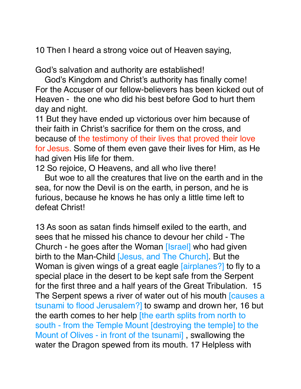10 Then I heard a strong voice out of Heaven saying,

God's salvation and authority are established!

 God's Kingdom and Christ's authority has finally come! For the Accuser of our fellow-believers has been kicked out of Heaven - the one who did his best before God to hurt them day and night.

11 But they have ended up victorious over him because of their faith in Christ's sacrifice for them on the cross, and because of the testimony of their lives that proved their love for Jesus. Some of them even gave their lives for Him, as He had given His life for them.

12 So rejoice, O Heavens, and all who live there!

 But woe to all the creatures that live on the earth and in the sea, for now the Devil is on the earth, in person, and he is furious, because he knows he has only a little time left to defeat Christ!

13 As soon as satan finds himself exiled to the earth, and sees that he missed his chance to devour her child - The Church - he goes after the Woman [Israel] who had given birth to the Man-Child [Jesus, and The Church]. But the Woman is given wings of a great eagle [airplanes?] to fly to a special place in the desert to be kept safe from the Serpent for the first three and a half years of the Great Tribulation. 15 The Serpent spews a river of water out of his mouth causes a tsunami to flood Jerusalem?] to swamp and drown her, 16 but the earth comes to her help [the earth splits from north to south - from the Temple Mount [destroying the temple] to the Mount of Olives - in front of the tsunami] , swallowing the water the Dragon spewed from its mouth. 17 Helpless with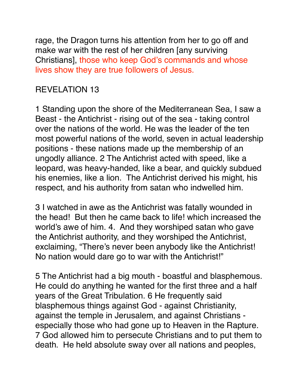rage, the Dragon turns his attention from her to go off and make war with the rest of her children [any surviving Christians], those who keep God's commands and whose lives show they are true followers of Jesus.

### REVELATION 13

1 Standing upon the shore of the Mediterranean Sea, I saw a Beast - the Antichrist - rising out of the sea - taking control over the nations of the world. He was the leader of the ten most powerful nations of the world, seven in actual leadership positions - these nations made up the membership of an ungodly alliance. 2 The Antichrist acted with speed, like a leopard, was heavy-handed, like a bear, and quickly subdued his enemies, like a lion. The Antichrist derived his might, his respect, and his authority from satan who indwelled him.

3 I watched in awe as the Antichrist was fatally wounded in the head! But then he came back to life! which increased the world's awe of him. 4. And they worshiped satan who gave the Antichrist authority, and they worshiped the Antichrist, exclaiming, "There's never been anybody like the Antichrist! No nation would dare go to war with the Antichrist!"

5 The Antichrist had a big mouth - boastful and blasphemous. He could do anything he wanted for the first three and a half years of the Great Tribulation. 6 He frequently said blasphemous things against God - against Christianity, against the temple in Jerusalem, and against Christians especially those who had gone up to Heaven in the Rapture. 7 God allowed him to persecute Christians and to put them to death. He held absolute sway over all nations and peoples,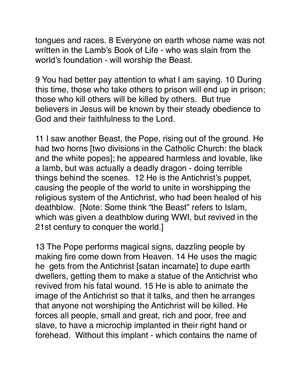tongues and races. 8 Everyone on earth whose name was not written in the Lamb's Book of Life - who was slain from the world's foundation - will worship the Beast.

9 You had better pay attention to what I am saying. 10 During this time, those who take others to prison will end up in prison; those who kill others will be killed by others. But true believers in Jesus will be known by their steady obedience to God and their faithfulness to the Lord.

11 I saw another Beast, the Pope, rising out of the ground. He had two horns [two divisions in the Catholic Church: the black and the white popes]; he appeared harmless and lovable, like a lamb, but was actually a deadly dragon - doing terrible things behind the scenes. 12 He is the Antichrist's puppet, causing the people of the world to unite in worshipping the religious system of the Antichrist, who had been healed of his deathblow. [Note: Some think "the Beast" refers to Islam, which was given a deathblow during WWI, but revived in the 21st century to conquer the world.]

13 The Pope performs magical signs, dazzling people by making fire come down from Heaven. 14 He uses the magic he gets from the Antichrist [satan incarnate] to dupe earth dwellers, getting them to make a statue of the Antichrist who revived from his fatal wound. 15 He is able to animate the image of the Antichrist so that it talks, and then he arranges that anyone not worshiping the Antichrist will be killed. He forces all people, small and great, rich and poor, free and slave, to have a microchip implanted in their right hand or forehead. Without this implant - which contains the name of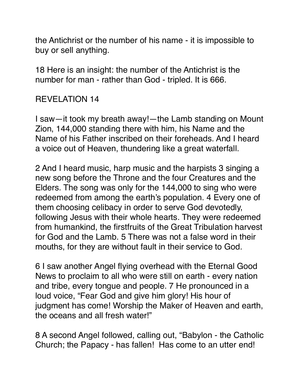the Antichrist or the number of his name - it is impossible to buy or sell anything.

18 Here is an insight: the number of the Antichrist is the number for man - rather than God - tripled. It is 666.

# REVELATION 14

I saw—it took my breath away!—the Lamb standing on Mount Zion, 144,000 standing there with him, his Name and the Name of his Father inscribed on their foreheads. And I heard a voice out of Heaven, thundering like a great waterfall.

2 And I heard music, harp music and the harpists 3 singing a new song before the Throne and the four Creatures and the Elders. The song was only for the 144,000 to sing who were redeemed from among the earth's population. 4 Every one of them choosing celibacy in order to serve God devotedly, following Jesus with their whole hearts. They were redeemed from humankind, the firstfruits of the Great Tribulation harvest for God and the Lamb. 5 There was not a false word in their mouths, for they are without fault in their service to God.

6 I saw another Angel flying overhead with the Eternal Good News to proclaim to all who were still on earth - every nation and tribe, every tongue and people. 7 He pronounced in a loud voice, "Fear God and give him glory! His hour of judgment has come! Worship the Maker of Heaven and earth, the oceans and all fresh water!"

8 A second Angel followed, calling out, "Babylon - the Catholic Church; the Papacy - has fallen! Has come to an utter end!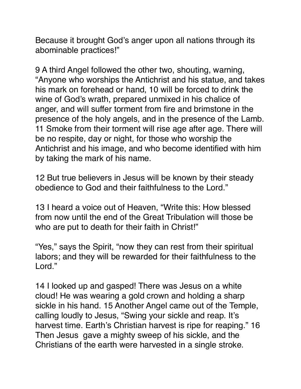Because it brought God's anger upon all nations through its abominable practices!"

9 A third Angel followed the other two, shouting, warning, "Anyone who worships the Antichrist and his statue, and takes his mark on forehead or hand, 10 will be forced to drink the wine of God's wrath, prepared unmixed in his chalice of anger, and will suffer torment from fire and brimstone in the presence of the holy angels, and in the presence of the Lamb. 11 Smoke from their torment will rise age after age. There will be no respite, day or night, for those who worship the Antichrist and his image, and who become identified with him by taking the mark of his name.

12 But true believers in Jesus will be known by their steady obedience to God and their faithfulness to the Lord."

13 I heard a voice out of Heaven, "Write this: How blessed from now until the end of the Great Tribulation will those be who are put to death for their faith in Christ!"

"Yes," says the Spirit, "now they can rest from their spiritual labors; and they will be rewarded for their faithfulness to the Lord."

14 I looked up and gasped! There was Jesus on a white cloud! He was wearing a gold crown and holding a sharp sickle in his hand. 15 Another Angel came out of the Temple, calling loudly to Jesus, "Swing your sickle and reap. It's harvest time. Earth's Christian harvest is ripe for reaping." 16 Then Jesus gave a mighty sweep of his sickle, and the Christians of the earth were harvested in a single stroke.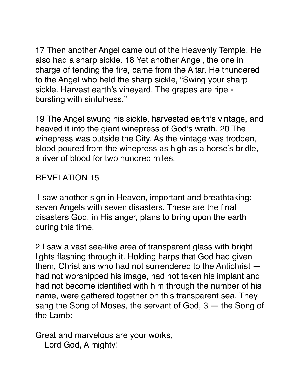17 Then another Angel came out of the Heavenly Temple. He also had a sharp sickle. 18 Yet another Angel, the one in charge of tending the fire, came from the Altar. He thundered to the Angel who held the sharp sickle, "Swing your sharp sickle. Harvest earth's vineyard. The grapes are ripe bursting with sinfulness."

19 The Angel swung his sickle, harvested earth's vintage, and heaved it into the giant winepress of God's wrath. 20 The winepress was outside the City. As the vintage was trodden, blood poured from the winepress as high as a horse's bridle, a river of blood for two hundred miles.

### REVELATION 15

 I saw another sign in Heaven, important and breathtaking: seven Angels with seven disasters. These are the final disasters God, in His anger, plans to bring upon the earth during this time.

2 I saw a vast sea-like area of transparent glass with bright lights flashing through it. Holding harps that God had given them, Christians who had not surrendered to the Antichrist had not worshipped his image, had not taken his implant and had not become identified with him through the number of his name, were gathered together on this transparent sea. They sang the Song of Moses, the servant of God, 3 — the Song of the Lamb:

Great and marvelous are your works, Lord God, Almighty!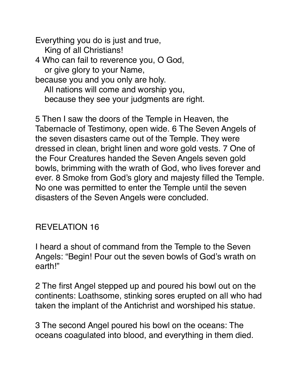Everything you do is just and true, King of all Christians! 4 Who can fail to reverence you, O God, or give glory to your Name, because you and you only are holy. All nations will come and worship you, because they see your judgments are right.

5 Then I saw the doors of the Temple in Heaven, the Tabernacle of Testimony, open wide. 6 The Seven Angels of the seven disasters came out of the Temple. They were dressed in clean, bright linen and wore gold vests. 7 One of the Four Creatures handed the Seven Angels seven gold bowls, brimming with the wrath of God, who lives forever and ever. 8 Smoke from God's glory and majesty filled the Temple. No one was permitted to enter the Temple until the seven disasters of the Seven Angels were concluded.

#### REVELATION 16

I heard a shout of command from the Temple to the Seven Angels: "Begin! Pour out the seven bowls of God's wrath on earth!"

2 The first Angel stepped up and poured his bowl out on the continents: Loathsome, stinking sores erupted on all who had taken the implant of the Antichrist and worshiped his statue.

3 The second Angel poured his bowl on the oceans: The oceans coagulated into blood, and everything in them died.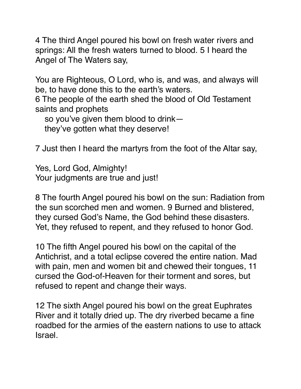4 The third Angel poured his bowl on fresh water rivers and springs: All the fresh waters turned to blood. 5 I heard the Angel of The Waters say,

You are Righteous, O Lord, who is, and was, and always will be, to have done this to the earth's waters.

6 The people of the earth shed the blood of Old Testament saints and prophets

so you've given them blood to drink—

they've gotten what they deserve!

7 Just then I heard the martyrs from the foot of the Altar say,

Yes, Lord God, Almighty! Your judgments are true and just!

8 The fourth Angel poured his bowl on the sun: Radiation from the sun scorched men and women. 9 Burned and blistered, they cursed God's Name, the God behind these disasters. Yet, they refused to repent, and they refused to honor God.

10 The fifth Angel poured his bowl on the capital of the Antichrist, and a total eclipse covered the entire nation. Mad with pain, men and women bit and chewed their tongues, 11 cursed the God-of-Heaven for their torment and sores, but refused to repent and change their ways.

12 The sixth Angel poured his bowl on the great Euphrates River and it totally dried up. The dry riverbed became a fine roadbed for the armies of the eastern nations to use to attack Israel.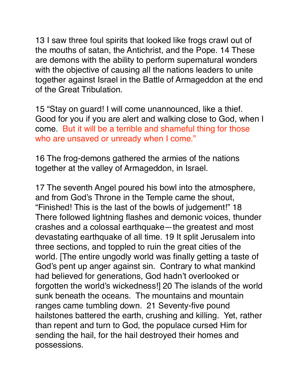13 I saw three foul spirits that looked like frogs crawl out of the mouths of satan, the Antichrist, and the Pope. 14 These are demons with the ability to perform supernatural wonders with the objective of causing all the nations leaders to unite together against Israel in the Battle of Armageddon at the end of the Great Tribulation.

15 "Stay on guard! I will come unannounced, like a thief. Good for you if you are alert and walking close to God, when I come. But it will be a terrible and shameful thing for those who are unsaved or unready when I come."

16 The frog-demons gathered the armies of the nations together at the valley of Armageddon, in Israel.

17 The seventh Angel poured his bowl into the atmosphere, and from God's Throne in the Temple came the shout, "Finished! This is the last of the bowls of judgement!" 18 There followed lightning flashes and demonic voices, thunder crashes and a colossal earthquake—the greatest and most devastating earthquake of all time. 19 It split Jerusalem into three sections, and toppled to ruin the great cities of the world. [The entire ungodly world was finally getting a taste of God's pent up anger against sin. Contrary to what mankind had believed for generations, God hadn't overlooked or forgotten the world's wickedness!] 20 The islands of the world sunk beneath the oceans. The mountains and mountain ranges came tumbling down. 21 Seventy-five pound hailstones battered the earth, crushing and killing. Yet, rather than repent and turn to God, the populace cursed Him for sending the hail, for the hail destroyed their homes and possessions.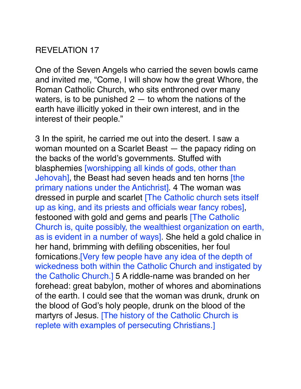#### REVELATION 17

One of the Seven Angels who carried the seven bowls came and invited me, "Come, I will show how the great Whore, the Roman Catholic Church, who sits enthroned over many waters, is to be punished  $2 -$  to whom the nations of the earth have illicitly yoked in their own interest, and in the interest of their people."

3 In the spirit, he carried me out into the desert. I saw a woman mounted on a Scarlet Beast — the papacy riding on the backs of the world's governments. Stuffed with blasphemies [worshipping all kinds of gods, other than Jehovah], the Beast had seven heads and ten horns [the primary nations under the Antichrist]. 4 The woman was dressed in purple and scarlet [The Catholic church sets itself up as king, and its priests and officials wear fancy robes], festooned with gold and gems and pearls [The Catholic Church is, quite possibly, the wealthiest organization on earth, as is evident in a number of ways]. She held a gold chalice in her hand, brimming with defiling obscenities, her foul fornications.[Very few people have any idea of the depth of wickedness both within the Catholic Church and instigated by the Catholic Church.] 5 A riddle-name was branded on her forehead: great babylon, mother of whores and abominations of the earth. I could see that the woman was drunk, drunk on the blood of God's holy people, drunk on the blood of the martyrs of Jesus. [The history of the Catholic Church is replete with examples of persecuting Christians.]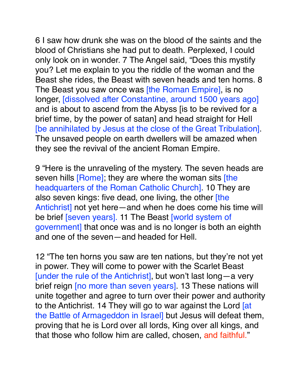6 I saw how drunk she was on the blood of the saints and the blood of Christians she had put to death. Perplexed, I could only look on in wonder. 7 The Angel said, "Does this mystify you? Let me explain to you the riddle of the woman and the Beast she rides, the Beast with seven heads and ten horns. 8 The Beast you saw once was *[the Roman Empire]*, is no longer, [dissolved after Constantine, around 1500 years ago] and is about to ascend from the Abyss [is to be revived for a brief time, by the power of satan] and head straight for Hell [be annihilated by Jesus at the close of the Great Tribulation]. The unsaved people on earth dwellers will be amazed when they see the revival of the ancient Roman Empire.

9 "Here is the unraveling of the mystery. The seven heads are seven hills [Rome]; they are where the woman sits [the headquarters of the Roman Catholic Church]. 10 They are also seven kings: five dead, one living, the other [the Antichrist] not yet here—and when he does come his time will be brief [seven years]. 11 The Beast [world system of government] that once was and is no longer is both an eighth and one of the seven—and headed for Hell.

12 "The ten horns you saw are ten nations, but they're not yet in power. They will come to power with the Scarlet Beast [under the rule of the Antichrist], but won't last long—a very brief reign [no more than seven years]. 13 These nations will unite together and agree to turn over their power and authority to the Antichrist. 14 They will go to war against the Lord [at the Battle of Armageddon in Israel] but Jesus will defeat them, proving that he is Lord over all lords, King over all kings, and that those who follow him are called, chosen, and faithful."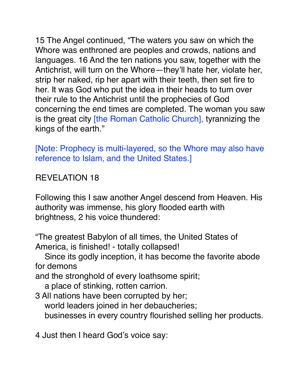15 The Angel continued, "The waters you saw on which the Whore was enthroned are peoples and crowds, nations and languages. 16 And the ten nations you saw, together with the Antichrist, will turn on the Whore—they'll hate her, violate her, strip her naked, rip her apart with their teeth, then set fire to her. It was God who put the idea in their heads to turn over their rule to the Antichrist until the prophecies of God concerning the end times are completed. The woman you saw is the great city [the Roman Catholic Church], tyrannizing the kings of the earth."

[Note: Prophecy is multi-layered, so the Whore may also have reference to Islam, and the United States.]

### REVELATION 18

Following this I saw another Angel descend from Heaven. His authority was immense, his glory flooded earth with brightness, 2 his voice thundered:

"The greatest Babylon of all times, the United States of America, is finished! - totally collapsed!

 Since its godly inception, it has become the favorite abode for demons

and the stronghold of every loathsome spirit;

a place of stinking, rotten carrion.

3 All nations have been corrupted by her; world leaders joined in her debaucheries; businesses in every country flourished selling her products.

4 Just then I heard God's voice say: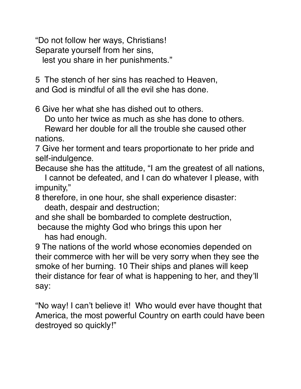"Do not follow her ways, Christians! Separate yourself from her sins,

lest you share in her punishments."

5 The stench of her sins has reached to Heaven, and God is mindful of all the evil she has done.

6 Give her what she has dished out to others.

Do unto her twice as much as she has done to others.

 Reward her double for all the trouble she caused other nations.

7 Give her torment and tears proportionate to her pride and self-indulgence.

Because she has the attitude, "I am the greatest of all nations,

 I cannot be defeated, and I can do whatever I please, with impunity,"

8 therefore, in one hour, she shall experience disaster: death, despair and destruction;

and she shall be bombarded to complete destruction, because the mighty God who brings this upon her

has had enough.

9 The nations of the world whose economies depended on their commerce with her will be very sorry when they see the smoke of her burning. 10 Their ships and planes will keep their distance for fear of what is happening to her, and they'll say:

"No way! I can't believe it! Who would ever have thought that America, the most powerful Country on earth could have been destroyed so quickly!"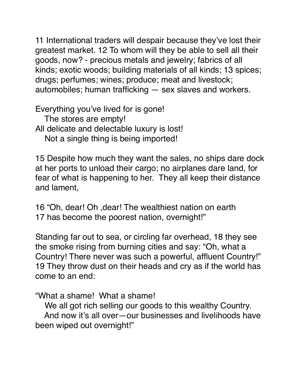11 International traders will despair because they've lost their greatest market. 12 To whom will they be able to sell all their goods, now? - precious metals and jewelry; fabrics of all kinds; exotic woods; building materials of all kinds; 13 spices; drugs; perfumes; wines; produce; meat and livestock; automobiles; human trafficking — sex slaves and workers.

Everything you've lived for is gone!

 The stores are empty! All delicate and delectable luxury is lost!

Not a single thing is being imported!

15 Despite how much they want the sales, no ships dare dock at her ports to unload their cargo; no airplanes dare land, for fear of what is happening to her. They all keep their distance and lament,

16 "Oh, dear! Oh ,dear! The wealthiest nation on earth 17 has become the poorest nation, overnight!"

Standing far out to sea, or circling far overhead, 18 they see the smoke rising from burning cities and say: "Oh, what a Country! There never was such a powerful, affluent Country!" 19 They throw dust on their heads and cry as if the world has come to an end:

"What a shame! What a shame!

 We all got rich selling our goods to this wealthy Country. And now it's all over—our businesses and livelihoods have been wiped out overnight!"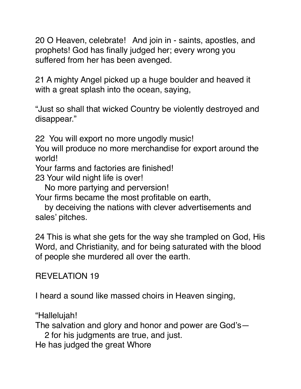20 O Heaven, celebrate! And join in - saints, apostles, and prophets! God has finally judged her; every wrong you suffered from her has been avenged.

21 A mighty Angel picked up a huge boulder and heaved it with a great splash into the ocean, saying,

"Just so shall that wicked Country be violently destroyed and disappear."

22 You will export no more ungodly music!

You will produce no more merchandise for export around the world!

Your farms and factories are finished!

23 Your wild night life is over!

No more partying and perversion!

Your firms became the most profitable on earth,

 by deceiving the nations with clever advertisements and sales' pitches.

24 This is what she gets for the way she trampled on God, His Word, and Christianity, and for being saturated with the blood of people she murdered all over the earth.

#### REVELATION 19

I heard a sound like massed choirs in Heaven singing,

"Hallelujah!

The salvation and glory and honor and power are God's—

2 for his judgments are true, and just.

He has judged the great Whore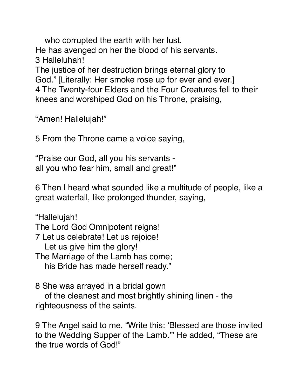who corrupted the earth with her lust. He has avenged on her the blood of his servants. 3 Halleluhah! The justice of her destruction brings eternal glory to God." [Literally: Her smoke rose up for ever and ever.] 4 The Twenty-four Elders and the Four Creatures fell to their knees and worshiped God on his Throne, praising,

"Amen! Hallelujah!"

5 From the Throne came a voice saying,

"Praise our God, all you his servants all you who fear him, small and great!"

6 Then I heard what sounded like a multitude of people, like a great waterfall, like prolonged thunder, saying,

"Hallelujah! The Lord God Omnipotent reigns! 7 Let us celebrate! Let us rejoice! Let us give him the glory! The Marriage of the Lamb has come; his Bride has made herself ready."

8 She was arrayed in a bridal gown

 of the cleanest and most brightly shining linen - the righteousness of the saints.

9 The Angel said to me, "Write this: 'Blessed are those invited to the Wedding Supper of the Lamb.'" He added, "These are the true words of God!"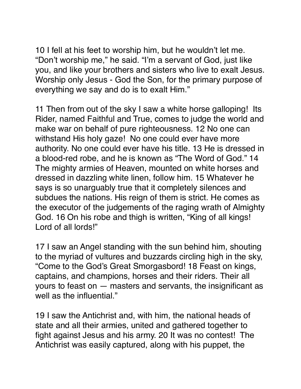10 I fell at his feet to worship him, but he wouldn't let me. "Don't worship me," he said. "I'm a servant of God, just like you, and like your brothers and sisters who live to exalt Jesus. Worship only Jesus - God the Son, for the primary purpose of everything we say and do is to exalt Him."

11 Then from out of the sky I saw a white horse galloping! Its Rider, named Faithful and True, comes to judge the world and make war on behalf of pure righteousness. 12 No one can withstand His holy gaze! No one could ever have more authority. No one could ever have his title. 13 He is dressed in a blood-red robe, and he is known as "The Word of God." 14 The mighty armies of Heaven, mounted on white horses and dressed in dazzling white linen, follow him. 15 Whatever he says is so unarguably true that it completely silences and subdues the nations. His reign of them is strict. He comes as the executor of the judgements of the raging wrath of Almighty God. 16 On his robe and thigh is written, "King of all kings! Lord of all lords!"

17 I saw an Angel standing with the sun behind him, shouting to the myriad of vultures and buzzards circling high in the sky, "Come to the God's Great Smorgasbord! 18 Feast on kings, captains, and champions, horses and their riders. Their all yours to feast on — masters and servants, the insignificant as well as the influential."

19 I saw the Antichrist and, with him, the national heads of state and all their armies, united and gathered together to fight against Jesus and his army. 20 It was no contest! The Antichrist was easily captured, along with his puppet, the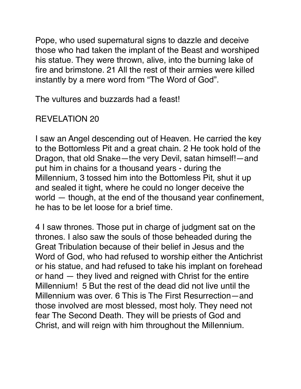Pope, who used supernatural signs to dazzle and deceive those who had taken the implant of the Beast and worshiped his statue. They were thrown, alive, into the burning lake of fire and brimstone. 21 All the rest of their armies were killed instantly by a mere word from "The Word of God".

The vultures and buzzards had a feast!

# REVELATION 20

I saw an Angel descending out of Heaven. He carried the key to the Bottomless Pit and a great chain. 2 He took hold of the Dragon, that old Snake—the very Devil, satan himself!—and put him in chains for a thousand years - during the Millennium, 3 tossed him into the Bottomless Pit, shut it up and sealed it tight, where he could no longer deceive the world — though, at the end of the thousand year confinement, he has to be let loose for a brief time.

4 I saw thrones. Those put in charge of judgment sat on the thrones. I also saw the souls of those beheaded during the Great Tribulation because of their belief in Jesus and the Word of God, who had refused to worship either the Antichrist or his statue, and had refused to take his implant on forehead or hand — they lived and reigned with Christ for the entire Millennium! 5 But the rest of the dead did not live until the Millennium was over. 6 This is The First Resurrection—and those involved are most blessed, most holy. They need not fear The Second Death. They will be priests of God and Christ, and will reign with him throughout the Millennium.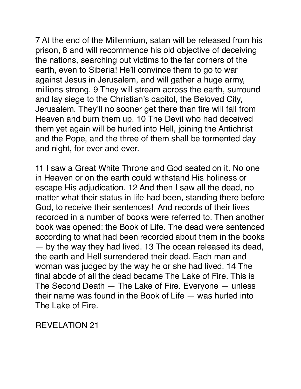7 At the end of the Millennium, satan will be released from his prison, 8 and will recommence his old objective of deceiving the nations, searching out victims to the far corners of the earth, even to Siberia! He'll convince them to go to war against Jesus in Jerusalem, and will gather a huge army, millions strong. 9 They will stream across the earth, surround and lay siege to the Christian's capitol, the Beloved City, Jerusalem. They'll no sooner get there than fire will fall from Heaven and burn them up. 10 The Devil who had deceived them yet again will be hurled into Hell, joining the Antichrist and the Pope, and the three of them shall be tormented day and night, for ever and ever.

11 I saw a Great White Throne and God seated on it. No one in Heaven or on the earth could withstand His holiness or escape His adjudication. 12 And then I saw all the dead, no matter what their status in life had been, standing there before God, to receive their sentences! And records of their lives recorded in a number of books were referred to. Then another book was opened: the Book of Life. The dead were sentenced according to what had been recorded about them in the books — by the way they had lived. 13 The ocean released its dead, the earth and Hell surrendered their dead. Each man and woman was judged by the way he or she had lived. 14 The final abode of all the dead became The Lake of Fire. This is The Second Death — The Lake of Fire. Everyone — unless their name was found in the Book of Life — was hurled into The Lake of Fire.

REVELATION 21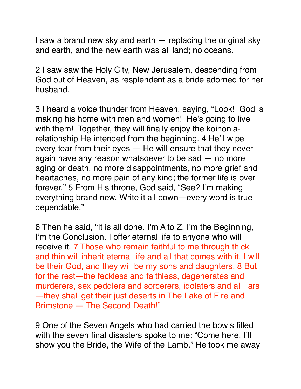I saw a brand new sky and earth — replacing the original sky and earth, and the new earth was all land; no oceans.

2 I saw saw the Holy City, New Jerusalem, descending from God out of Heaven, as resplendent as a bride adorned for her husband.

3 I heard a voice thunder from Heaven, saying, "Look! God is making his home with men and women! He's going to live with them! Together, they will finally enjoy the koinoniarelationship He intended from the beginning. 4 He'll wipe every tear from their eyes — He will ensure that they never again have any reason whatsoever to be sad — no more aging or death, no more disappointments, no more grief and heartaches, no more pain of any kind; the former life is over forever." 5 From His throne, God said, "See? I'm making everything brand new. Write it all down—every word is true dependable."

6 Then he said, "It is all done. I'm A to Z. I'm the Beginning, I'm the Conclusion. I offer eternal life to anyone who will receive it. 7 Those who remain faithful to me through thick and thin will inherit eternal life and all that comes with it. I will be their God, and they will be my sons and daughters. 8 But for the rest—the feckless and faithless, degenerates and murderers, sex peddlers and sorcerers, idolaters and all liars —they shall get their just deserts in The Lake of Fire and Brimstone — The Second Death!"

9 One of the Seven Angels who had carried the bowls filled with the seven final disasters spoke to me: "Come here. I'll show you the Bride, the Wife of the Lamb." He took me away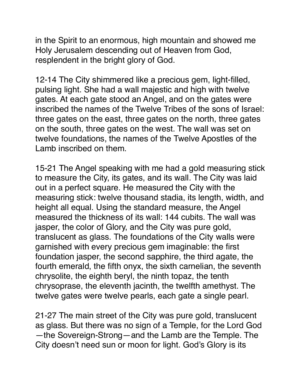in the Spirit to an enormous, high mountain and showed me Holy Jerusalem descending out of Heaven from God, resplendent in the bright glory of God.

12-14 The City shimmered like a precious gem, light-filled, pulsing light. She had a wall majestic and high with twelve gates. At each gate stood an Angel, and on the gates were inscribed the names of the Twelve Tribes of the sons of Israel: three gates on the east, three gates on the north, three gates on the south, three gates on the west. The wall was set on twelve foundations, the names of the Twelve Apostles of the Lamb inscribed on them.

15-21 The Angel speaking with me had a gold measuring stick to measure the City, its gates, and its wall. The City was laid out in a perfect square. He measured the City with the measuring stick: twelve thousand stadia, its length, width, and height all equal. Using the standard measure, the Angel measured the thickness of its wall: 144 cubits. The wall was jasper, the color of Glory, and the City was pure gold, translucent as glass. The foundations of the City walls were garnished with every precious gem imaginable: the first foundation jasper, the second sapphire, the third agate, the fourth emerald, the fifth onyx, the sixth carnelian, the seventh chrysolite, the eighth beryl, the ninth topaz, the tenth chrysoprase, the eleventh jacinth, the twelfth amethyst. The twelve gates were twelve pearls, each gate a single pearl.

21-27 The main street of the City was pure gold, translucent as glass. But there was no sign of a Temple, for the Lord God —the Sovereign-Strong—and the Lamb are the Temple. The City doesn't need sun or moon for light. God's Glory is its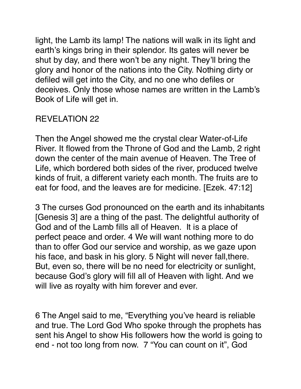light, the Lamb its lamp! The nations will walk in its light and earth's kings bring in their splendor. Its gates will never be shut by day, and there won't be any night. They'll bring the glory and honor of the nations into the City. Nothing dirty or defiled will get into the City, and no one who defiles or deceives. Only those whose names are written in the Lamb's Book of Life will get in.

# REVELATION 22

Then the Angel showed me the crystal clear Water-of-Life River. It flowed from the Throne of God and the Lamb, 2 right down the center of the main avenue of Heaven. The Tree of Life, which bordered both sides of the river, produced twelve kinds of fruit, a different variety each month. The fruits are to eat for food, and the leaves are for medicine. [Ezek. 47:12]

3 The curses God pronounced on the earth and its inhabitants [Genesis 3] are a thing of the past. The delightful authority of God and of the Lamb fills all of Heaven. It is a place of perfect peace and order. 4 We will want nothing more to do than to offer God our service and worship, as we gaze upon his face, and bask in his glory. 5 Night will never fall,there. But, even so, there will be no need for electricity or sunlight, because God's glory will fill all of Heaven with light. And we will live as royalty with him forever and ever.

6 The Angel said to me, "Everything you've heard is reliable and true. The Lord God Who spoke through the prophets has sent his Angel to show His followers how the world is going to end - not too long from now. 7 "You can count on it", God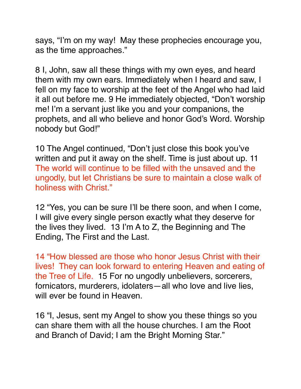says, "I'm on my way! May these prophecies encourage you, as the time approaches."

8 I, John, saw all these things with my own eyes, and heard them with my own ears. Immediately when I heard and saw, I fell on my face to worship at the feet of the Angel who had laid it all out before me. 9 He immediately objected, "Don't worship me! I'm a servant just like you and your companions, the prophets, and all who believe and honor God's Word. Worship nobody but God!"

10 The Angel continued, "Don't just close this book you've written and put it away on the shelf. Time is just about up. 11 The world will continue to be filled with the unsaved and the ungodly, but let Christians be sure to maintain a close walk of holiness with Christ."

12 "Yes, you can be sure I'll be there soon, and when I come, I will give every single person exactly what they deserve for the lives they lived. 13 I'm A to Z, the Beginning and The Ending, The First and the Last.

14 "How blessed are those who honor Jesus Christ with their lives! They can look forward to entering Heaven and eating of the Tree of Life. 15 For no ungodly unbelievers, sorcerers, fornicators, murderers, idolaters—all who love and live lies, will ever be found in Heaven.

16 "I, Jesus, sent my Angel to show you these things so you can share them with all the house churches. I am the Root and Branch of David; I am the Bright Morning Star."